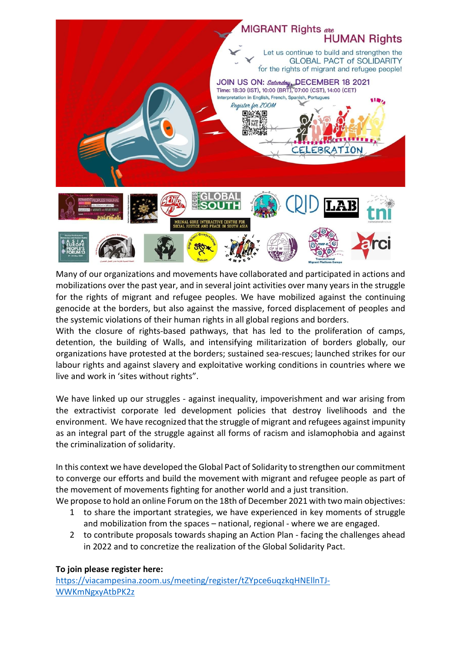

Many of our organizations and movements have collaborated and participated in actions and mobilizations over the past year, and in several joint activities over many years in the struggle for the rights of migrant and refugee peoples. We have mobilized against the continuing genocide at the borders, but also against the massive, forced displacement of peoples and the systemic violations of their human rights in all global regions and borders.

With the closure of rights-based pathways, that has led to the proliferation of camps, detention, the building of Walls, and intensifying militarization of borders globally, our organizations have protested at the borders; sustained sea-rescues; launched strikes for our labour rights and against slavery and exploitative working conditions in countries where we live and work in 'sites without rights".

We have linked up our struggles - against inequality, impoverishment and war arising from the extractivist corporate led development policies that destroy livelihoods and the environment. We have recognized that the struggle of migrant and refugees against impunity as an integral part of the struggle against all forms of racism and islamophobia and against the criminalization of solidarity.

In this context we have developed the Global Pact of Solidarity to strengthen our commitment to converge our efforts and build the movement with migrant and refugee people as part of the movement of movements fighting for another world and a just transition.

- We propose to hold an online Forum on the 18th of December 2021 with two main objectives: 1 to share the important strategies, we have experienced in key moments of struggle and mobilization from the spaces – national, regional - where we are engaged.
	- 2 to contribute proposals towards shaping an Action Plan facing the challenges ahead in 2022 and to concretize the realization of the Global Solidarity Pact.

#### **To join please register here:**

[https://viacampesina.zoom.us/meeting/register/tZYpce6uqzkqHNEllnTJ-](https://viacampesina.zoom.us/meeting/register/tZYpce6uqzkqHNEllnTJ-WWKmNgxyAtbPK2z)[WWKmNgxyAtbPK2z](https://viacampesina.zoom.us/meeting/register/tZYpce6uqzkqHNEllnTJ-WWKmNgxyAtbPK2z)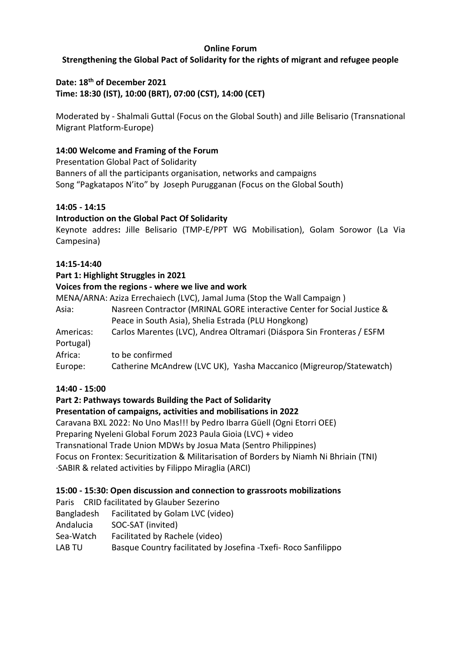# **Online Forum**

# **Strengthening the Global Pact of Solidarity for the rights of migrant and refugee people**

**Date: 18th of December 2021**

**Time: 18:30 (IST), 10:00 (BRT), 07:00 (CST), 14:00 (CET)**

Moderated by - Shalmali Guttal (Focus on the Global South) and Jille Belisario (Transnational Migrant Platform-Europe)

# **14:00 Welcome and Framing of the Forum**

Presentation Global Pact of Solidarity Banners of all the participants organisation, networks and campaigns Song "Pagkatapos N'ito" by Joseph Purugganan (Focus on the Global South)

### **14:05 - 14:15**

### **Introduction on the Global Pact Of Solidarity**

Keynote addres**:** Jille Belisario (TMP-E/PPT WG Mobilisation), Golam Sorowor (La Via Campesina)

### **14:15-14:40**

### **Part 1: Highlight Struggles in 2021**

### **Voices from the regions - where we live and work**

MENA/ARNA: Aziza Errechaiech (LVC), Jamal Juma (Stop the Wall Campaign )

| Asia: | Nasreen Contractor (MRINAL GORE interactive Center for Social Justice & |
|-------|-------------------------------------------------------------------------|
|       | Peace in South Asia), Shelia Estrada (PLU Hongkong)                     |

Americas: Carlos Marentes (LVC), Andrea Oltramari (Diáspora Sin Fronteras / ESFM Portugal)

Africa: to be confirmed

Europe: Catherine McAndrew (LVC UK), Yasha Maccanico (Migreurop/Statewatch)

### **14:40 - 15:00**

### **Part 2: Pathways towards Building the Pact of Solidarity**

### **Presentation of campaigns, activities and mobilisations in 2022**

Caravana BXL 2022: No Uno Mas!!! by Pedro Ibarra Güell (Ogni Etorri OEE) Preparing Nyeleni Global Forum 2023 Paula Gioia (LVC) + video Transnational Trade Union MDWs by Josua Mata (Sentro Philippines) Focus on Frontex: Securitization & Militarisation of Borders by Niamh Ni Bhriain (TNI) ·SABIR & related activities by Filippo Miraglia (ARCI)

### **15:00 - 15:30: Open discussion and connection to grassroots mobilizations**

Paris CRID facilitated by Glauber Sezerino

- Bangladesh Facilitated by Golam LVC (video)
- Andalucia SOC-SAT (invited)
- Sea-Watch Facilitated by Rachele (video)

LAB TU Basque Country facilitated by Josefina -Txefi- Roco Sanfilippo